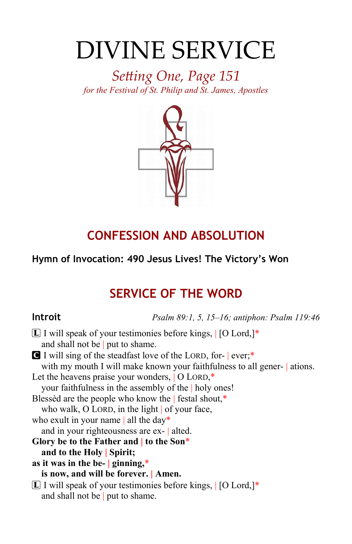# DIVINE SERVICE

*Setting One, Page 151 for the Festival of St. Philip and St. James, Apostles*



# **CONFESSION AND ABSOLUTION**

### **Hymn of Invocation: 490 Jesus Lives! The Victory's Won**

# **SERVICE OF THE WORD**

**Introit** *Psalm 89:1, 5, 15–16; antiphon: Psalm 119:46*

| $[L]$ I will speak of your testimonies before kings, $[O$ Lord,]*       |  |  |
|-------------------------------------------------------------------------|--|--|
| and shall not be   put to shame.                                        |  |  |
| I will sing of the steadfast love of the LORD, for- ever;*              |  |  |
| with my mouth I will make known your faithfulness to all gener- ations. |  |  |
| Let the heavens praise your wonders, $\overline{O}$ LORD,*              |  |  |
| your faithfulness in the assembly of the   holy ones!                   |  |  |
| Blessed are the people who know the   festal shout,*                    |  |  |
| who walk, O LORD, in the light $\vert$ of your face,                    |  |  |
| who exult in your name   all the day*                                   |  |  |
| and in your righteousness are ex-   alted.                              |  |  |
| Glory be to the Father and $\vert$ to the Son*                          |  |  |
| and to the Holy Spirit;                                                 |  |  |
| as it was in the be- $\vert$ ginning,*                                  |  |  |
| is now, and will be forever.   Amen.                                    |  |  |
| $[L]$ I will speak of your testimonies before kings, $[O$ Lord, $]$ *   |  |  |
| and shall not be   put to shame.                                        |  |  |
|                                                                         |  |  |